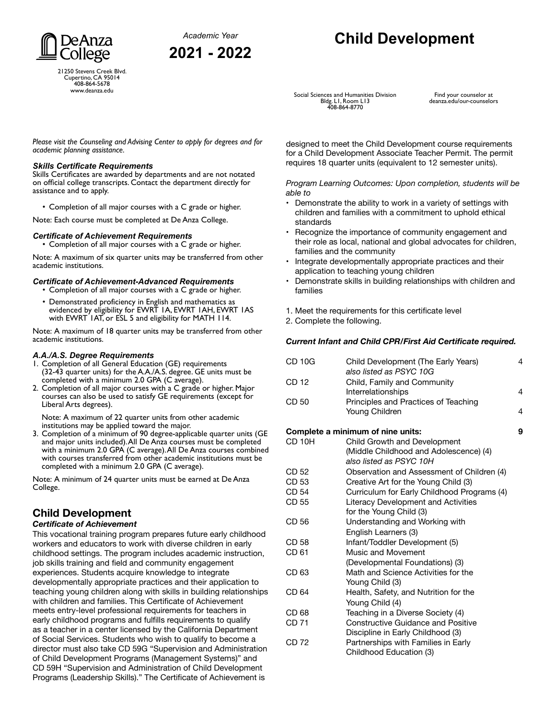



21250 Stevens Creek Blvd. Cupertino, CA 95014 408-864-5678 www.deanza.edu

# **Child Development**

Social Sciences and Humanities Division Bldg. L1, Room L13 408-864-8770

Find your counselor at deanza.edu/our-counselors

*Please visit the Counseling and Advising Center to apply for degrees and for academic planning assistance.*

#### *Skills Certificate Requirements*

Skills Certificates are awarded by departments and are not notated on official college transcripts. Contact the department directly for assistance and to apply.

• Completion of all major courses with a C grade or higher.

Note: Each course must be completed at De Anza College.

#### *Certificate of Achievement Requirements*

• Completion of all major courses with a C grade or higher.

Note: A maximum of six quarter units may be transferred from other academic institutions.

- *Certificate of Achievement-Advanced Requirements* Completion of all major courses with a C grade or higher.
	- Demonstrated proficiency in English and mathematics as evidenced by eligibility for EWRT 1A, EWRT 1AH, EWRT 1AS with EWRT 1AT, or ESL 5 and eligibility for MATH 114.

Note: A maximum of 18 quarter units may be transferred from other academic institutions.

## *A.A./A.S. Degree Requirements*

- Completion of all General Education (GE) requirements (32-43 quarter units) for the A.A./A.S. degree. GE units must be completed with a minimum 2.0 GPA (C average).
- 2. Completion of all major courses with a C grade or higher. Major courses can also be used to satisfy GE requirements (except for Liberal Arts degrees).

Note: A maximum of 22 quarter units from other academic institutions may be applied toward the major.

3. Completion of a minimum of 90 degree-applicable quarter units (GE and major units included). All De Anza courses must be completed with a minimum 2.0 GPA (C average). All De Anza courses combined with courses transferred from other academic institutions must be completed with a minimum 2.0 GPA (C average).

Note: A minimum of 24 quarter units must be earned at De Anza College.

## **Child Development**

## *Certificate of Achievement*

This vocational training program prepares future early childhood workers and educators to work with diverse children in early childhood settings. The program includes academic instruction, job skills training and field and community engagement experiences. Students acquire knowledge to integrate developmentally appropriate practices and their application to teaching young children along with skills in building relationships with children and families. This Certificate of Achievement meets entry-level professional requirements for teachers in early childhood programs and fulfills requirements to qualify as a teacher in a center licensed by the California Department of Social Services. Students who wish to qualify to become a director must also take CD 59G "Supervision and Administration of Child Development Programs (Management Systems)" and CD 59H "Supervision and Administration of Child Development Programs (Leadership Skills)." The Certificate of Achievement is

designed to meet the Child Development course requirements for a Child Development Associate Teacher Permit. The permit requires 18 quarter units (equivalent to 12 semester units).

*Program Learning Outcomes: Upon completion, students will be able to*

- Demonstrate the ability to work in a variety of settings with children and families with a commitment to uphold ethical standards
- Recognize the importance of community engagement and their role as local, national and global advocates for children, families and the community
- Integrate developmentally appropriate practices and their application to teaching young children
- Demonstrate skills in building relationships with children and families
- 1. Meet the requirements for this certificate level
- 2. Complete the following.

## *Current Infant and Child CPR/First Aid Certificate required.*

| CD 10G | Child Development (The Early Years)<br>also listed as PSYC 10G | 4 |
|--------|----------------------------------------------------------------|---|
| CD 12  | Child, Family and Community<br>Interrelationships              | 4 |
| CD 50  | Principles and Practices of Teaching<br>Young Children         | 4 |

**Complete a minimum of nine units: 9**

| CD 10H | Child Growth and Development                |
|--------|---------------------------------------------|
|        | (Middle Childhood and Adolescence) (4)      |
|        | also listed as PSYC 10H                     |
| CD 52  | Observation and Assessment of Children (4)  |
| CD 53  | Creative Art for the Young Child (3)        |
| CD 54  | Curriculum for Early Childhood Programs (4) |
| CD 55  | Literacy Development and Activities         |
|        | for the Young Child (3)                     |
| CD 56  | Understanding and Working with              |
|        | English Learners (3)                        |
| CD 58  | Infant/Toddler Development (5)              |
| CD 61  | Music and Movement                          |
|        | (Developmental Foundations) (3)             |
| CD 63  | Math and Science Activities for the         |
|        | Young Child (3)                             |
| CD 64  | Health, Safety, and Nutrition for the       |
|        | Young Child (4)                             |
| CD 68  | Teaching in a Diverse Society (4)           |
| CD 71  | <b>Constructive Guidance and Positive</b>   |
|        | Discipline in Early Childhood (3)           |
| CD 72  | Partnerships with Families in Early         |
|        | Childhood Education (3)                     |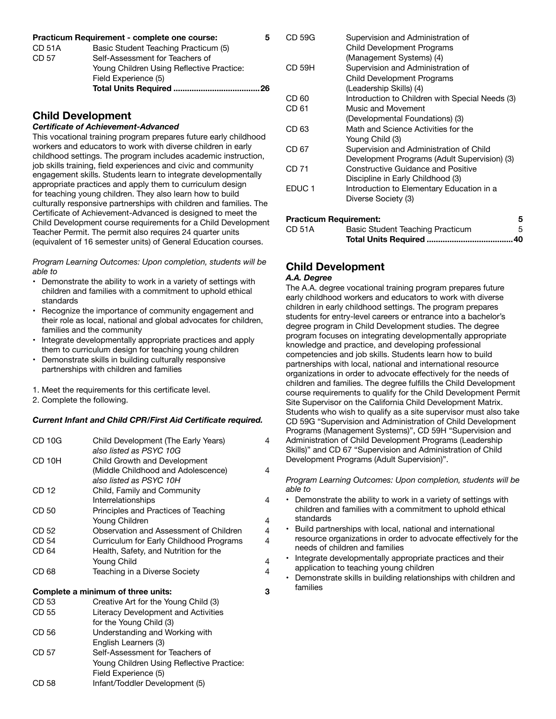| Practicum Requirement - complete one course: |                                           | 5   |
|----------------------------------------------|-------------------------------------------|-----|
| <b>CD 51A</b>                                | Basic Student Teaching Practicum (5)      |     |
| CD 57                                        | Self-Assessment for Teachers of           |     |
|                                              | Young Children Using Reflective Practice: |     |
|                                              | Field Experience (5)                      |     |
|                                              |                                           | .26 |

## **Child Development**

## *Certificate of Achievement-Advanced*

This vocational training program prepares future early childhood workers and educators to work with diverse children in early childhood settings. The program includes academic instruction, job skills training, field experiences and civic and community engagement skills. Students learn to integrate developmentally appropriate practices and apply them to curriculum design for teaching young children. They also learn how to build culturally responsive partnerships with children and families. The Certificate of Achievement-Advanced is designed to meet the Child Development course requirements for a Child Development Teacher Permit. The permit also requires 24 quarter units (equivalent of 16 semester units) of General Education courses.

*Program Learning Outcomes: Upon completion, students will be able to*

- Demonstrate the ability to work in a variety of settings with children and families with a commitment to uphold ethical standards
- Recognize the importance of community engagement and their role as local, national and global advocates for children, families and the community
- Integrate developmentally appropriate practices and apply them to curriculum design for teaching young children
- Demonstrate skills in building culturally responsive partnerships with children and families
- 1. Meet the requirements for this certificate level.
- 2. Complete the following.

## *Current Infant and Child CPR/First Aid Certificate required.*

| <b>CD 10G</b> | Child Development (The Early Years)                           | 4              |
|---------------|---------------------------------------------------------------|----------------|
|               | also listed as PSYC 10G                                       |                |
| CD 10H        | Child Growth and Development                                  | 4              |
|               | (Middle Childhood and Adolescence)<br>also listed as PSYC 10H |                |
| CD 12         | Child, Family and Community                                   |                |
|               | Interrelationships                                            | $\overline{4}$ |
| CD 50         | Principles and Practices of Teaching                          |                |
|               | Young Children                                                | $\overline{4}$ |
| CD 52         | Observation and Assessment of Children                        | $\overline{4}$ |
| CD 54         | Curriculum for Early Childhood Programs                       | $\overline{4}$ |
| CD 64         | Health, Safety, and Nutrition for the                         |                |
|               | Young Child                                                   | $\overline{4}$ |
| CD 68         | Teaching in a Diverse Society                                 | 4              |
|               | Complete a minimum of three units:                            | 3              |
| CD 53         | Creative Art for the Young Child (3)                          |                |
| CD 55         | Literacy Development and Activities                           |                |
|               | for the Young Child (3)                                       |                |
| CD 56         | Understanding and Working with                                |                |
|               | English Learners (3)                                          |                |
| CD 57         | Self-Assessment for Teachers of                               |                |
|               | Young Children Using Reflective Practice:                     |                |
|               | Field Experience (5)                                          |                |
| CD 58         | Infant/Toddler Development (5)                                |                |

Infant/Toddler Development (5)

| <b>CD 59G</b>     | Supervision and Administration of               |
|-------------------|-------------------------------------------------|
|                   | <b>Child Development Programs</b>               |
|                   | (Management Systems) (4)                        |
| CD 59H            | Supervision and Administration of               |
|                   | <b>Child Development Programs</b>               |
|                   | (Leadership Skills) (4)                         |
| CD 60             | Introduction to Children with Special Needs (3) |
| CD 61             | Music and Movement                              |
|                   | (Developmental Foundations) (3)                 |
| CD 63             | Math and Science Activities for the             |
|                   | Young Child (3)                                 |
| CD 67             | Supervision and Administration of Child         |
|                   | Development Programs (Adult Supervision) (3)    |
| CD 71             | <b>Constructive Guidance and Positive</b>       |
|                   | Discipline in Early Childhood (3)               |
| EDUC <sub>1</sub> | Introduction to Elementary Education in a       |
|                   | Diverse Society (3)                             |
|                   |                                                 |
|                   |                                                 |

## **Practicum Requirement: 5**

| <b>CD 51A</b> | Basic Student Teaching Practicum |  |
|---------------|----------------------------------|--|
|               |                                  |  |

## **Child Development**

## *A.A. Degree*

The A.A. degree vocational training program prepares future early childhood workers and educators to work with diverse children in early childhood settings. The program prepares students for entry-level careers or entrance into a bachelor's degree program in Child Development studies. The degree program focuses on integrating developmentally appropriate knowledge and practice, and developing professional competencies and job skills. Students learn how to build partnerships with local, national and international resource organizations in order to advocate effectively for the needs of children and families. The degree fulfills the Child Development course requirements to qualify for the Child Development Permit Site Supervisor on the California Child Development Matrix. Students who wish to qualify as a site supervisor must also take CD 59G "Supervision and Administration of Child Development Programs (Management Systems)", CD 59H "Supervision and Administration of Child Development Programs (Leadership Skills)" and CD 67 "Supervision and Administration of Child Development Programs (Adult Supervision)".

*Program Learning Outcomes: Upon completion, students will be able to*

- Demonstrate the ability to work in a variety of settings with children and families with a commitment to uphold ethical standards
- Build partnerships with local, national and international resource organizations in order to advocate effectively for the needs of children and families
- Integrate developmentally appropriate practices and their application to teaching young children
- Demonstrate skills in building relationships with children and families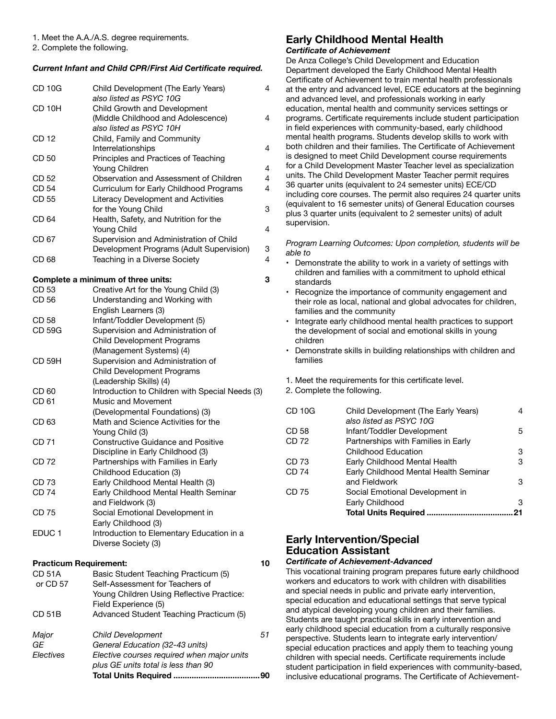- 1. Meet the A.A./A.S. degree requirements.
- 2. Complete the following.

#### *Current Infant and Child CPR/First Aid Certificate required.*

| <b>CD 10G</b>                                  | Child Development (The Early Years)<br>also listed as PSYC 10G          | 4              |
|------------------------------------------------|-------------------------------------------------------------------------|----------------|
| CD 10H                                         | Child Growth and Development                                            |                |
|                                                | (Middle Childhood and Adolescence)                                      | 4              |
| CD 12                                          | also listed as PSYC 10H<br>Child, Family and Community                  |                |
|                                                | Interrelationships                                                      | 4              |
| CD 50                                          | Principles and Practices of Teaching                                    |                |
|                                                | Young Children                                                          | $\overline{4}$ |
| CD 52                                          | Observation and Assessment of Children                                  | 4              |
| CD 54<br>CD 55                                 | Curriculum for Early Childhood Programs                                 | $\overline{4}$ |
|                                                | Literacy Development and Activities<br>for the Young Child              | 3              |
| CD 64                                          | Health, Safety, and Nutrition for the                                   |                |
|                                                | Young Child                                                             | 4              |
| CD 67                                          | Supervision and Administration of Child                                 |                |
|                                                | Development Programs (Adult Supervision)                                | 3              |
| CD 68                                          | Teaching in a Diverse Society                                           | 4              |
|                                                | Complete a minimum of three units:                                      | 3              |
| CD 53                                          | Creative Art for the Young Child (3)                                    |                |
| CD 56                                          | Understanding and Working with                                          |                |
|                                                | English Learners (3)                                                    |                |
| CD 58                                          | Infant/Toddler Development (5)                                          |                |
| <b>CD 59G</b>                                  | Supervision and Administration of                                       |                |
|                                                | Child Development Programs                                              |                |
|                                                | (Management Systems) (4)                                                |                |
| CD 59H                                         | Supervision and Administration of                                       |                |
|                                                | Child Development Programs<br>(Leadership Skills) (4)                   |                |
| CD 60                                          | Introduction to Children with Special Needs (3)                         |                |
| CD 61                                          | Music and Movement                                                      |                |
|                                                | (Developmental Foundations) (3)                                         |                |
| CD 63                                          | Math and Science Activities for the                                     |                |
|                                                | Young Child (3)                                                         |                |
| CD 71                                          | <b>Constructive Guidance and Positive</b>                               |                |
|                                                | Discipline in Early Childhood (3)                                       |                |
| CD 72                                          | Partnerships with Families in Early                                     |                |
|                                                | Childhood Education (3)                                                 |                |
| CD 73                                          | Early Childhood Mental Health (3)                                       |                |
| CD 74                                          | Early Childhood Mental Health Seminar                                   |                |
|                                                | and Fieldwork (3)                                                       |                |
| CD 75                                          | Social Emotional Development in                                         |                |
| EDUC <sub>1</sub>                              | Early Childhood (3)<br>Introduction to Elementary Education in a        |                |
|                                                | Diverse Society (3)                                                     |                |
|                                                |                                                                         |                |
| <b>Practicum Requirement:</b><br><b>CD 51A</b> |                                                                         | 10             |
| or CD 57                                       | Basic Student Teaching Practicum (5)<br>Self-Assessment for Teachers of |                |
|                                                | Young Children Using Reflective Practice:                               |                |
|                                                | Field Experience (5)                                                    |                |

CD 51B Advanced Student Teaching Practicum (5) *Major Child Development 51 GE General Education (32-43 units) Elective courses required when major units plus GE units total is less than 90* **Total Units Required ......................................90** 

## **Early Childhood Mental Health**

## *Certificate of Achievement*

De Anza College's Child Development and Education Department developed the Early Childhood Mental Health Certificate of Achievement to train mental health professionals at the entry and advanced level, ECE educators at the beginning and advanced level, and professionals working in early education, mental health and community services settings or programs. Certificate requirements include student participation in field experiences with community-based, early childhood mental health programs. Students develop skills to work with both children and their families. The Certificate of Achievement is designed to meet Child Development course requirements for a Child Development Master Teacher level as specialization units. The Child Development Master Teacher permit requires 36 quarter units (equivalent to 24 semester units) ECE/CD including core courses. The permit also requires 24 quarter units (equivalent to 16 semester units) of General Education courses plus 3 quarter units (equivalent to 2 semester units) of adult supervision.

*Program Learning Outcomes: Upon completion, students will be able to*

- Demonstrate the ability to work in a variety of settings with children and families with a commitment to uphold ethical standards
- Recognize the importance of community engagement and their role as local, national and global advocates for children, families and the community
- Integrate early childhood mental health practices to support the development of social and emotional skills in young children
- Demonstrate skills in building relationships with children and families
- 1. Meet the requirements for this certificate level.
- 2. Complete the following.

| CD 10G | Child Development (The Early Years)<br>also listed as PSYC 10G |    |
|--------|----------------------------------------------------------------|----|
| CD 58  | Infant/Toddler Development                                     | 5  |
| CD 72  | Partnerships with Families in Early                            |    |
|        | <b>Childhood Education</b>                                     | 3  |
| CD 73  | Early Childhood Mental Health                                  | 3  |
| CD 74  | Early Childhood Mental Health Seminar                          |    |
|        | and Fieldwork                                                  | 3  |
| CD 75  | Social Emotional Development in                                |    |
|        | Early Childhood                                                | 3  |
|        | Total Units Required                                           | 21 |

## **Early Intervention/Special Education Assistant**

#### *Certificate of Achievement-Advanced*

This vocational training program prepares future early childhood workers and educators to work with children with disabilities and special needs in public and private early intervention, special education and educational settings that serve typical and atypical developing young children and their families. Students are taught practical skills in early intervention and early childhood special education from a culturally responsive perspective. Students learn to integrate early intervention/ special education practices and apply them to teaching young children with special needs. Certificate requirements include student participation in field experiences with community-based, inclusive educational programs. The Certificate of Achievement